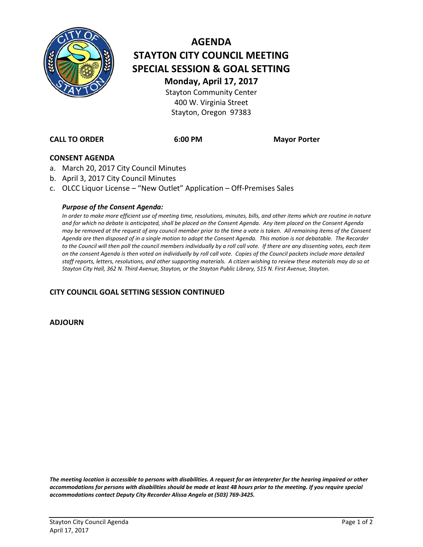

# **AGENDA STAYTON CITY COUNCIL MEETING SPECIAL SESSION & GOAL SETTING Monday, April 17, 2017**

Stayton Community Center 400 W. Virginia Street Stayton, Oregon 97383

**CALL TO ORDER 6:00 PM Mayor Porter**

#### **CONSENT AGENDA**

- a. March 20, 2017 City Council Minutes
- b. April 3, 2017 City Council Minutes
- c. OLCC Liquor License "New Outlet" Application Off-Premises Sales

#### *Purpose of the Consent Agenda:*

*In order to make more efficient use of meeting time, resolutions, minutes, bills, and other items which are routine in nature and for which no debate is anticipated, shall be placed on the Consent Agenda. Any item placed on the Consent Agenda may be removed at the request of any council member prior to the time a vote is taken. All remaining items of the Consent Agenda are then disposed of in a single motion to adopt the Consent Agenda. This motion is not debatable. The Recorder*  to the Council will then poll the council members individually by a roll call vote. If there are any dissenting votes, each item *on the consent Agenda is then voted on individually by roll call vote. Copies of the Council packets include more detailed staff reports, letters, resolutions, and other supporting materials. A citizen wishing to review these materials may do so at Stayton City Hall, 362 N. Third Avenue, Stayton, or the Stayton Public Library, 515 N. First Avenue, Stayton.*

#### **CITY COUNCIL GOAL SETTING SESSION CONTINUED**

**ADJOURN**

*The meeting location is accessible to persons with disabilities. A request for an interpreter for the hearing impaired or other accommodations for persons with disabilities should be made at least 48 hours prior to the meeting. If you require special accommodations contact Deputy City Recorder Alissa Angelo at (503) 769-3425.*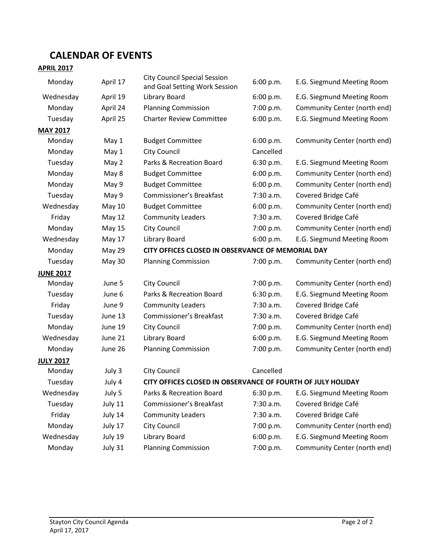## **CALENDAR OF EVENTS**

### **APRIL 2017**

| Monday           | April 17      | <b>City Council Special Session</b><br>and Goal Setting Work Session | 6:00 p.m. | E.G. Siegmund Meeting Room   |
|------------------|---------------|----------------------------------------------------------------------|-----------|------------------------------|
| Wednesday        | April 19      | Library Board                                                        | 6:00 p.m. | E.G. Siegmund Meeting Room   |
| Monday           | April 24      | <b>Planning Commission</b>                                           | 7:00 p.m. | Community Center (north end) |
| Tuesday          | April 25      | <b>Charter Review Committee</b>                                      | 6:00 p.m. | E.G. Siegmund Meeting Room   |
| <b>MAY 2017</b>  |               |                                                                      |           |                              |
| Monday           | May 1         | <b>Budget Committee</b>                                              | 6:00 p.m. | Community Center (north end) |
| Monday           | May 1         | <b>City Council</b>                                                  | Cancelled |                              |
| Tuesday          | May 2         | Parks & Recreation Board                                             | 6:30 p.m. | E.G. Siegmund Meeting Room   |
| Monday           | May 8         | <b>Budget Committee</b>                                              | 6:00 p.m. | Community Center (north end) |
| Monday           | May 9         | <b>Budget Committee</b>                                              | 6:00 p.m. | Community Center (north end) |
| Tuesday          | May 9         | <b>Commissioner's Breakfast</b>                                      | 7:30 a.m. | Covered Bridge Café          |
| Wednesday        | May 10        | <b>Budget Committee</b>                                              | 6:00 p.m. | Community Center (north end) |
| Friday           | <b>May 12</b> | <b>Community Leaders</b>                                             | 7:30 a.m. | Covered Bridge Café          |
| Monday           | <b>May 15</b> | <b>City Council</b>                                                  | 7:00 p.m. | Community Center (north end) |
| Wednesday        | May 17        | Library Board                                                        | 6:00 p.m. | E.G. Siegmund Meeting Room   |
| Monday           | May 29        | CITY OFFICES CLOSED IN OBSERVANCE OF MEMORIAL DAY                    |           |                              |
| Tuesday          | May 30        | <b>Planning Commission</b>                                           | 7:00 p.m. | Community Center (north end) |
| <b>JUNE 2017</b> |               |                                                                      |           |                              |
| Monday           | June 5        | <b>City Council</b>                                                  | 7:00 p.m. | Community Center (north end) |
| Tuesday          | June 6        | Parks & Recreation Board                                             | 6:30 p.m. | E.G. Siegmund Meeting Room   |
| Friday           | June 9        | <b>Community Leaders</b>                                             | 7:30 a.m. | Covered Bridge Café          |
| Tuesday          | June 13       | <b>Commissioner's Breakfast</b>                                      | 7:30 a.m. | Covered Bridge Café          |
| Monday           | June 19       | <b>City Council</b>                                                  | 7:00 p.m. | Community Center (north end) |
| Wednesday        | June 21       | Library Board                                                        | 6:00 p.m. | E.G. Siegmund Meeting Room   |
| Monday           | June 26       | <b>Planning Commission</b>                                           | 7:00 p.m. | Community Center (north end) |
| <b>JULY 2017</b> |               |                                                                      |           |                              |
| Monday           | July 3        | City Council                                                         | Cancelled |                              |
| Tuesday          | July 4        | CITY OFFICES CLOSED IN OBSERVANCE OF FOURTH OF JULY HOLIDAY          |           |                              |
| Wednesday        | July 5        | Parks & Recreation Board                                             | 6:30 p.m. | E.G. Siegmund Meeting Room   |
| Tuesday          | July 11       | Commissioner's Breakfast                                             | 7:30 a.m. | Covered Bridge Café          |
| Friday           | July 14       | <b>Community Leaders</b>                                             | 7:30 a.m. | Covered Bridge Café          |
| Monday           | July 17       | City Council                                                         | 7:00 p.m. | Community Center (north end) |
| Wednesday        | July 19       | Library Board                                                        | 6:00 p.m. | E.G. Siegmund Meeting Room   |
| Monday           | July 31       | <b>Planning Commission</b>                                           | 7:00 p.m. | Community Center (north end) |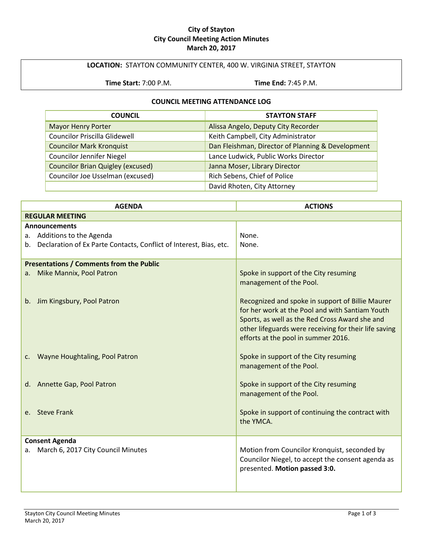#### **City of Stayton City Council Meeting Action Minutes March 20, 2017**

#### **LOCATION:** STAYTON COMMUNITY CENTER, 400 W. VIRGINIA STREET, STAYTON

**Time Start:** 7:00 P.M. **Time End:** 7:45 P.M.

#### **COUNCIL MEETING ATTENDANCE LOG**

| <b>COUNCIL</b>                           | <b>STAYTON STAFF</b>                              |  |
|------------------------------------------|---------------------------------------------------|--|
| <b>Mayor Henry Porter</b>                | Alissa Angelo, Deputy City Recorder               |  |
| <b>Councilor Priscilla Glidewell</b>     | Keith Campbell, City Administrator                |  |
| <b>Councilor Mark Kronquist</b>          | Dan Fleishman, Director of Planning & Development |  |
| <b>Councilor Jennifer Niegel</b>         | Lance Ludwick, Public Works Director              |  |
| <b>Councilor Brian Quigley (excused)</b> | Janna Moser, Library Director                     |  |
| Councilor Joe Usselman (excused)         | Rich Sebens, Chief of Police                      |  |
|                                          | David Rhoten, City Attorney                       |  |

| <b>AGENDA</b>                                                         | <b>ACTIONS</b>                                                                                                                                                                                                                                        |  |
|-----------------------------------------------------------------------|-------------------------------------------------------------------------------------------------------------------------------------------------------------------------------------------------------------------------------------------------------|--|
| <b>REGULAR MEETING</b>                                                |                                                                                                                                                                                                                                                       |  |
| <b>Announcements</b>                                                  |                                                                                                                                                                                                                                                       |  |
| a. Additions to the Agenda                                            | None.                                                                                                                                                                                                                                                 |  |
| b. Declaration of Ex Parte Contacts, Conflict of Interest, Bias, etc. | None.                                                                                                                                                                                                                                                 |  |
|                                                                       |                                                                                                                                                                                                                                                       |  |
| <b>Presentations / Comments from the Public</b>                       |                                                                                                                                                                                                                                                       |  |
| Mike Mannix, Pool Patron<br>$a_{-}$                                   | Spoke in support of the City resuming<br>management of the Pool.                                                                                                                                                                                      |  |
| b. Jim Kingsbury, Pool Patron                                         | Recognized and spoke in support of Billie Maurer<br>for her work at the Pool and with Santiam Youth<br>Sports, as well as the Red Cross Award she and<br>other lifeguards were receiving for their life saving<br>efforts at the pool in summer 2016. |  |
| c. Wayne Houghtaling, Pool Patron                                     | Spoke in support of the City resuming<br>management of the Pool.                                                                                                                                                                                      |  |
| d. Annette Gap, Pool Patron                                           | Spoke in support of the City resuming<br>management of the Pool.                                                                                                                                                                                      |  |
| e. Steve Frank                                                        | Spoke in support of continuing the contract with<br>the YMCA.                                                                                                                                                                                         |  |
| <b>Consent Agenda</b>                                                 |                                                                                                                                                                                                                                                       |  |
| March 6, 2017 City Council Minutes<br>a.                              | Motion from Councilor Kronquist, seconded by<br>Councilor Niegel, to accept the consent agenda as<br>presented. Motion passed 3:0.                                                                                                                    |  |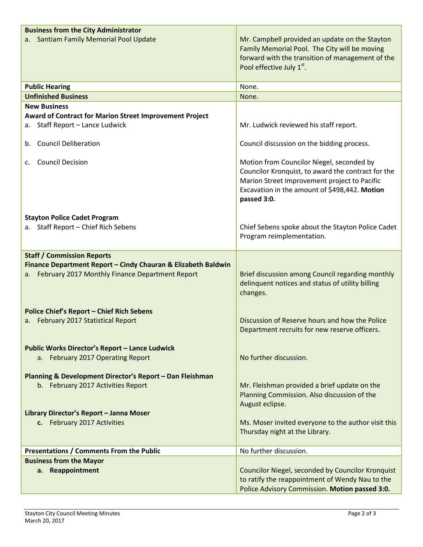| <b>Business from the City Administrator</b>                                                                                 |                                                                                                                                                                                                                 |  |
|-----------------------------------------------------------------------------------------------------------------------------|-----------------------------------------------------------------------------------------------------------------------------------------------------------------------------------------------------------------|--|
| Santiam Family Memorial Pool Update                                                                                         | Mr. Campbell provided an update on the Stayton<br>Family Memorial Pool. The City will be moving<br>forward with the transition of management of the<br>Pool effective July 1st.                                 |  |
| <b>Public Hearing</b>                                                                                                       | None.                                                                                                                                                                                                           |  |
| <b>Unfinished Business</b>                                                                                                  | None.                                                                                                                                                                                                           |  |
| <b>New Business</b><br><b>Award of Contract for Marion Street Improvement Project</b><br>Staff Report - Lance Ludwick<br>а. | Mr. Ludwick reviewed his staff report.                                                                                                                                                                          |  |
| b. Council Deliberation                                                                                                     | Council discussion on the bidding process.                                                                                                                                                                      |  |
| <b>Council Decision</b><br>C.                                                                                               | Motion from Councilor Niegel, seconded by<br>Councilor Kronquist, to award the contract for the<br>Marion Street Improvement project to Pacific<br>Excavation in the amount of \$498,442. Motion<br>passed 3:0. |  |
| <b>Stayton Police Cadet Program</b>                                                                                         |                                                                                                                                                                                                                 |  |
| a. Staff Report - Chief Rich Sebens                                                                                         | Chief Sebens spoke about the Stayton Police Cadet<br>Program reimplementation.                                                                                                                                  |  |
| <b>Staff / Commission Reports</b>                                                                                           |                                                                                                                                                                                                                 |  |
| Finance Department Report - Cindy Chauran & Elizabeth Baldwin                                                               |                                                                                                                                                                                                                 |  |
| February 2017 Monthly Finance Department Report<br>а. –                                                                     | Brief discussion among Council regarding monthly<br>delinquent notices and status of utility billing<br>changes.                                                                                                |  |
| <b>Police Chief's Report - Chief Rich Sebens</b>                                                                            |                                                                                                                                                                                                                 |  |
| February 2017 Statistical Report<br>а. –                                                                                    | Discussion of Reserve hours and how the Police<br>Department recruits for new reserve officers.                                                                                                                 |  |
| <b>Public Works Director's Report - Lance Ludwick</b><br>a. February 2017 Operating Report                                  | No further discussion.                                                                                                                                                                                          |  |
| Planning & Development Director's Report - Dan Fleishman<br>b. February 2017 Activities Report                              | Mr. Fleishman provided a brief update on the<br>Planning Commission. Also discussion of the<br>August eclipse.                                                                                                  |  |
| Library Director's Report - Janna Moser<br>c. February 2017 Activities                                                      | Ms. Moser invited everyone to the author visit this<br>Thursday night at the Library.                                                                                                                           |  |
| Presentations / Comments From the Public                                                                                    | No further discussion.                                                                                                                                                                                          |  |
| <b>Business from the Mayor</b>                                                                                              |                                                                                                                                                                                                                 |  |
| a. Reappointment                                                                                                            | Councilor Niegel, seconded by Councilor Kronquist<br>to ratify the reappointment of Wendy Nau to the<br>Police Advisory Commission. Motion passed 3:0.                                                          |  |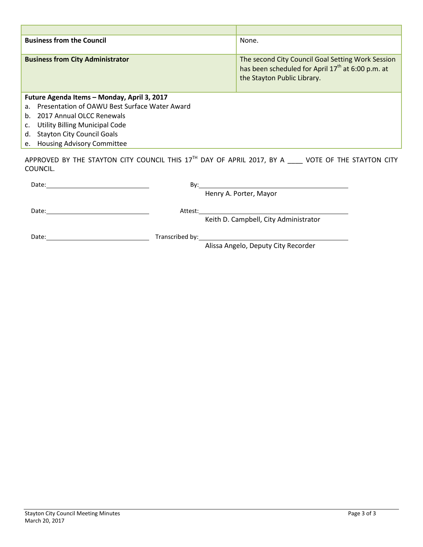| <b>Business from the Council</b>                                | None.                                                                                                                                             |  |
|-----------------------------------------------------------------|---------------------------------------------------------------------------------------------------------------------------------------------------|--|
| <b>Business from City Administrator</b>                         | The second City Council Goal Setting Work Session<br>has been scheduled for April 17 <sup>th</sup> at 6:00 p.m. at<br>the Stayton Public Library. |  |
| Future Agenda Items - Monday, April 3, 2017                     |                                                                                                                                                   |  |
| Presentation of OAWU Best Surface Water Award<br>a <sub>1</sub> |                                                                                                                                                   |  |
| 2017 Annual OLCC Renewals<br>$h_{-}$                            |                                                                                                                                                   |  |
| <b>Utility Billing Municipal Code</b><br>c.                     |                                                                                                                                                   |  |
| <b>Stayton City Council Goals</b><br>d.                         |                                                                                                                                                   |  |
| <b>Housing Advisory Committee</b><br>e.                         |                                                                                                                                                   |  |

APPROVED BY THE STAYTON CITY COUNCIL THIS  $17<sup>TH</sup>$  DAY OF APRIL 2017, BY A  $\_\_\_\_\$  VOTE OF THE STAYTON CITY COUNCIL.

| Date:<br><u> 1986 - Johann Harry Harry Harry Harry Harry Harry Harry Harry Harry Harry Harry Harry Harry Harry Harry Harry</u> | Bv:     | <u> 1989 - Johann Stein, mars an deutscher Stein († 1989)</u> |  |
|--------------------------------------------------------------------------------------------------------------------------------|---------|---------------------------------------------------------------|--|
|                                                                                                                                |         | Henry A. Porter, Mayor                                        |  |
| Date:                                                                                                                          | Attest: |                                                               |  |
|                                                                                                                                |         | Keith D. Campbell, City Administrator                         |  |
| Date:                                                                                                                          |         |                                                               |  |
|                                                                                                                                |         | Altera Auguste, Deutscher Otto Deseudeur                      |  |

Alissa Angelo, Deputy City Recorder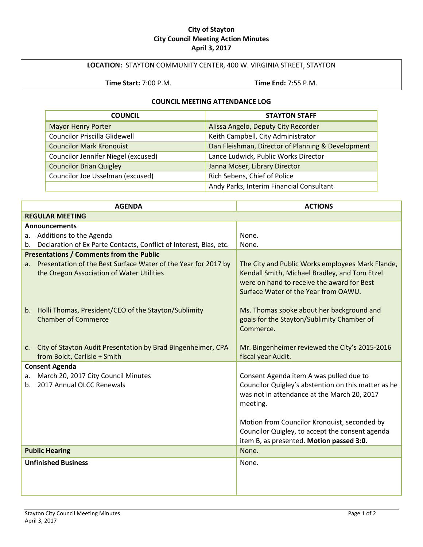#### **City of Stayton City Council Meeting Action Minutes April 3, 2017**

#### **LOCATION:** STAYTON COMMUNITY CENTER, 400 W. VIRGINIA STREET, STAYTON

**Time Start:** 7:00 P.M. **Time End:** 7:55 P.M.

#### **COUNCIL MEETING ATTENDANCE LOG**

| <b>COUNCIL</b>                       | <b>STAYTON STAFF</b>                              |  |
|--------------------------------------|---------------------------------------------------|--|
| <b>Mayor Henry Porter</b>            | Alissa Angelo, Deputy City Recorder               |  |
| <b>Councilor Priscilla Glidewell</b> | Keith Campbell, City Administrator                |  |
| <b>Councilor Mark Kronquist</b>      | Dan Fleishman, Director of Planning & Development |  |
| Councilor Jennifer Niegel (excused)  | Lance Ludwick, Public Works Director              |  |
| <b>Councilor Brian Quigley</b>       | Janna Moser, Library Director                     |  |
| Councilor Joe Usselman (excused)     | Rich Sebens, Chief of Police                      |  |
|                                      | Andy Parks, Interim Financial Consultant          |  |

|                       | <b>AGENDA</b>                                                                                                  | <b>ACTIONS</b>                                                                                                                                                                          |  |
|-----------------------|----------------------------------------------------------------------------------------------------------------|-----------------------------------------------------------------------------------------------------------------------------------------------------------------------------------------|--|
|                       | <b>REGULAR MEETING</b>                                                                                         |                                                                                                                                                                                         |  |
|                       | <b>Announcements</b>                                                                                           |                                                                                                                                                                                         |  |
|                       | a. Additions to the Agenda                                                                                     | None.                                                                                                                                                                                   |  |
|                       | b. Declaration of Ex Parte Contacts, Conflict of Interest, Bias, etc.                                          | None.                                                                                                                                                                                   |  |
|                       | <b>Presentations / Comments from the Public</b>                                                                |                                                                                                                                                                                         |  |
|                       | a. Presentation of the Best Surface Water of the Year for 2017 by<br>the Oregon Association of Water Utilities | The City and Public Works employees Mark Flande,<br>Kendall Smith, Michael Bradley, and Tom Etzel<br>were on hand to receive the award for Best<br>Surface Water of the Year from OAWU. |  |
|                       | b. Holli Thomas, President/CEO of the Stayton/Sublimity<br><b>Chamber of Commerce</b>                          | Ms. Thomas spoke about her background and<br>goals for the Stayton/Sublimity Chamber of<br>Commerce.                                                                                    |  |
|                       | c. City of Stayton Audit Presentation by Brad Bingenheimer, CPA<br>from Boldt, Carlisle + Smith                | Mr. Bingenheimer reviewed the City's 2015-2016<br>fiscal year Audit.                                                                                                                    |  |
|                       | <b>Consent Agenda</b>                                                                                          |                                                                                                                                                                                         |  |
| а.                    | March 20, 2017 City Council Minutes                                                                            | Consent Agenda item A was pulled due to                                                                                                                                                 |  |
|                       | b. 2017 Annual OLCC Renewals                                                                                   | Councilor Quigley's abstention on this matter as he<br>was not in attendance at the March 20, 2017<br>meeting.                                                                          |  |
|                       |                                                                                                                | Motion from Councilor Kronquist, seconded by<br>Councilor Quigley, to accept the consent agenda<br>item B, as presented. Motion passed 3:0.                                             |  |
| <b>Public Hearing</b> |                                                                                                                | None.                                                                                                                                                                                   |  |
|                       | <b>Unfinished Business</b>                                                                                     | None.                                                                                                                                                                                   |  |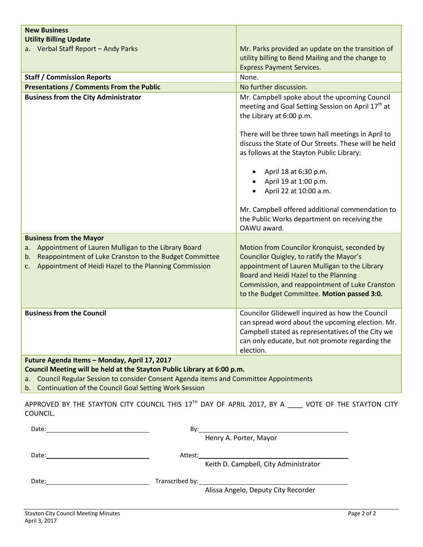| <b>New Business</b><br><b>Utility Billing Update</b>                                                                                                                                                                       |                                                                                                                                                                                                                                                                                                                                                                                                                                                                                      |  |
|----------------------------------------------------------------------------------------------------------------------------------------------------------------------------------------------------------------------------|--------------------------------------------------------------------------------------------------------------------------------------------------------------------------------------------------------------------------------------------------------------------------------------------------------------------------------------------------------------------------------------------------------------------------------------------------------------------------------------|--|
| a. Verbal Staff Report - Andy Parks                                                                                                                                                                                        | Mr. Parks provided an update on the transition of<br>utility billing to Bend Mailing and the change to<br><b>Express Payment Services.</b>                                                                                                                                                                                                                                                                                                                                           |  |
| <b>Staff / Commission Reports</b>                                                                                                                                                                                          | None.                                                                                                                                                                                                                                                                                                                                                                                                                                                                                |  |
| <b>Presentations / Comments From the Public</b>                                                                                                                                                                            | No further discussion.                                                                                                                                                                                                                                                                                                                                                                                                                                                               |  |
| <b>Business from the City Administrator</b>                                                                                                                                                                                | Mr. Campbell spoke about the upcoming Council<br>meeting and Goal Setting Session on April 17 <sup>th</sup> at<br>the Library at 6:00 p.m.<br>There will be three town hall meetings in April to<br>discuss the State of Our Streets. These will be held<br>as follows at the Stayton Public Library:<br>April 18 at 6:30 p.m.<br>April 19 at 1:00 p.m.<br>April 22 at 10:00 a.m.<br>Mr. Campbell offered additional commendation to<br>the Public Works department on receiving the |  |
|                                                                                                                                                                                                                            | OAWU award.                                                                                                                                                                                                                                                                                                                                                                                                                                                                          |  |
| <b>Business from the Mayor</b><br>Appointment of Lauren Mulligan to the Library Board<br>a.<br>Reappointment of Luke Cranston to the Budget Committee<br>b.<br>Appointment of Heidi Hazel to the Planning Commission<br>c. | Motion from Councilor Kronquist, seconded by<br>Councilor Quigley, to ratify the Mayor's<br>appointment of Lauren Mulligan to the Library<br>Board and Heidi Hazel to the Planning<br>Commission, and reappointment of Luke Cranston<br>to the Budget Committee. Motion passed 3:0.                                                                                                                                                                                                  |  |
| <b>Business from the Council</b>                                                                                                                                                                                           | Councilor Glidewell inquired as how the Council<br>can spread word about the upcoming election. Mr.<br>Campbell stated as representatives of the City we<br>can only educate, but not promote regarding the<br>election.                                                                                                                                                                                                                                                             |  |
| Future Agenda Items - Monday, April 17, 2017                                                                                                                                                                               |                                                                                                                                                                                                                                                                                                                                                                                                                                                                                      |  |
| Council Meeting will be held at the Stayton Public Library at 6:00 p.m.                                                                                                                                                    |                                                                                                                                                                                                                                                                                                                                                                                                                                                                                      |  |
| Council Regular Session to consider Consent Agenda items and Committee Appointments<br>a.                                                                                                                                  |                                                                                                                                                                                                                                                                                                                                                                                                                                                                                      |  |
| Continuation of the Council Goal Setting Work Session<br>b.                                                                                                                                                                |                                                                                                                                                                                                                                                                                                                                                                                                                                                                                      |  |

APPROVED BY THE STAYTON CITY COUNCIL THIS  $17<sup>TH</sup>$  DAY OF APRIL 2017, BY A  $\_\_\_\_\$  VOTE OF THE STAYTON CITY COUNCIL.

| Date:                                                                                                                                                                                                                          | Bv:     |                                       |
|--------------------------------------------------------------------------------------------------------------------------------------------------------------------------------------------------------------------------------|---------|---------------------------------------|
|                                                                                                                                                                                                                                |         | Henry A. Porter, Mayor                |
| Date:                                                                                                                                                                                                                          | Attest: |                                       |
|                                                                                                                                                                                                                                |         | Keith D. Campbell, City Administrator |
| Date: the contract of the contract of the contract of the contract of the contract of the contract of the contract of the contract of the contract of the contract of the contract of the contract of the contract of the cont |         |                                       |
|                                                                                                                                                                                                                                |         | Alissa Angelo, Deputy City Recorder   |
|                                                                                                                                                                                                                                |         |                                       |